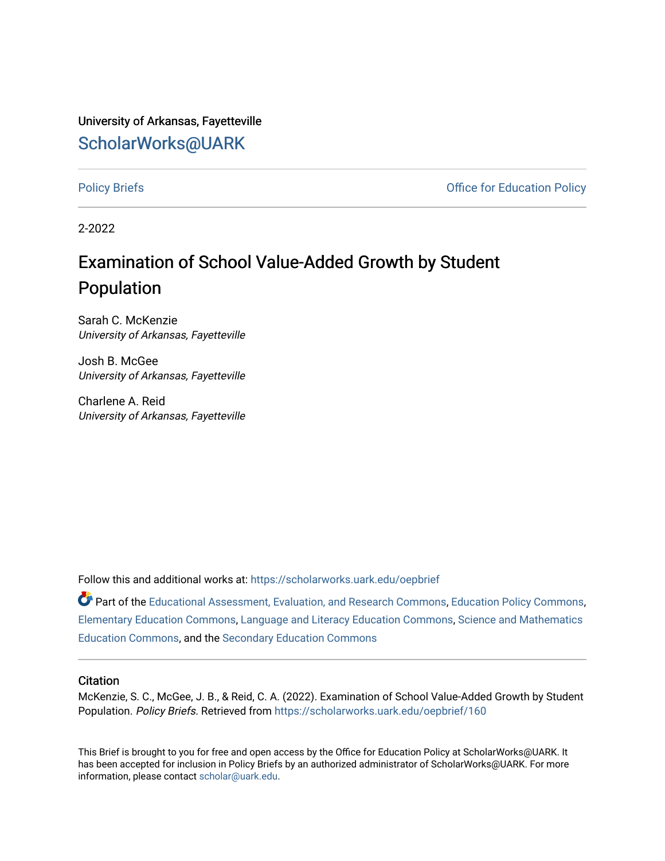University of Arkansas, Fayetteville [ScholarWorks@UARK](https://scholarworks.uark.edu/) 

[Policy Briefs](https://scholarworks.uark.edu/oepbrief) **Policy** Briefs **COVID-10 Policy Office for Education Policy** 

2-2022

# Examination of School Value-Added Growth by Student Population

Sarah C. McKenzie University of Arkansas, Fayetteville

Josh B. McGee University of Arkansas, Fayetteville

Charlene A. Reid University of Arkansas, Fayetteville

Follow this and additional works at: [https://scholarworks.uark.edu/oepbrief](https://scholarworks.uark.edu/oepbrief?utm_source=scholarworks.uark.edu%2Foepbrief%2F160&utm_medium=PDF&utm_campaign=PDFCoverPages) 

Part of the [Educational Assessment, Evaluation, and Research Commons](http://network.bepress.com/hgg/discipline/796?utm_source=scholarworks.uark.edu%2Foepbrief%2F160&utm_medium=PDF&utm_campaign=PDFCoverPages), [Education Policy Commons,](http://network.bepress.com/hgg/discipline/1026?utm_source=scholarworks.uark.edu%2Foepbrief%2F160&utm_medium=PDF&utm_campaign=PDFCoverPages) [Elementary Education Commons](http://network.bepress.com/hgg/discipline/1378?utm_source=scholarworks.uark.edu%2Foepbrief%2F160&utm_medium=PDF&utm_campaign=PDFCoverPages), [Language and Literacy Education Commons](http://network.bepress.com/hgg/discipline/1380?utm_source=scholarworks.uark.edu%2Foepbrief%2F160&utm_medium=PDF&utm_campaign=PDFCoverPages), [Science and Mathematics](http://network.bepress.com/hgg/discipline/800?utm_source=scholarworks.uark.edu%2Foepbrief%2F160&utm_medium=PDF&utm_campaign=PDFCoverPages)  [Education Commons,](http://network.bepress.com/hgg/discipline/800?utm_source=scholarworks.uark.edu%2Foepbrief%2F160&utm_medium=PDF&utm_campaign=PDFCoverPages) and the [Secondary Education Commons](http://network.bepress.com/hgg/discipline/1382?utm_source=scholarworks.uark.edu%2Foepbrief%2F160&utm_medium=PDF&utm_campaign=PDFCoverPages)

#### **Citation**

McKenzie, S. C., McGee, J. B., & Reid, C. A. (2022). Examination of School Value-Added Growth by Student Population. Policy Briefs. Retrieved from [https://scholarworks.uark.edu/oepbrief/160](https://scholarworks.uark.edu/oepbrief/160?utm_source=scholarworks.uark.edu%2Foepbrief%2F160&utm_medium=PDF&utm_campaign=PDFCoverPages) 

This Brief is brought to you for free and open access by the Office for Education Policy at ScholarWorks@UARK. It has been accepted for inclusion in Policy Briefs by an authorized administrator of ScholarWorks@UARK. For more information, please contact [scholar@uark.edu.](mailto:scholar@uark.edu)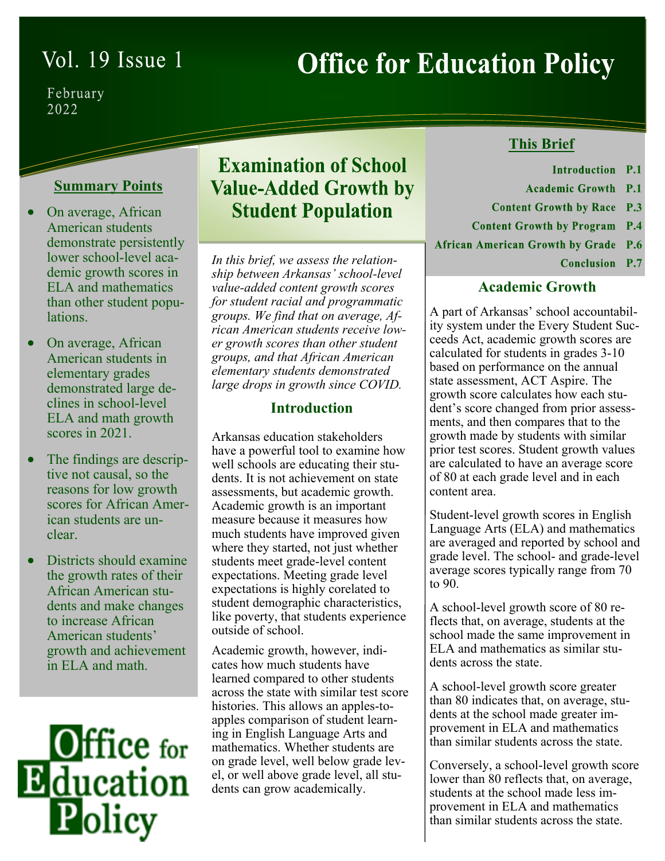# Vol. 19 Issue 1

# **Office for Education Policy**

February 2022

## **Summary Points**

- On average, African American students demonstrate persistently lower school-level academic growth scores in ELA and mathematics than other student populations.
- On average, African American students in elementary grades demonstrated large declines in school-level ELA and math growth scores in 2021.
- The findings are descriptive not causal, so the reasons for low growth scores for African American students are unclear.
- Districts should examine the growth rates of their African American students and make changes to increase African American students' growth and achievement in ELA and math.



# **Examination of School Value-Added Growth by Student Population**

*In this brief, we assess the relationship between Arkansas' school-level value-added content growth scores for student racial and programmatic groups. We find that on average, African American students receive lower growth scores than other student groups, and that African American elementary students demonstrated large drops in growth since COVID.* 

### **Introduction**

Arkansas education stakeholders have a powerful tool to examine how well schools are educating their students. It is not achievement on state assessments, but academic growth. Academic growth is an important measure because it measures how much students have improved given where they started, not just whether students meet grade-level content expectations. Meeting grade level expectations is highly corelated to student demographic characteristics, like poverty, that students experience outside of school.

Academic growth, however, indicates how much students have learned compared to other students across the state with similar test score histories. This allows an apples-toapples comparison of student learning in English Language Arts and mathematics. Whether students are on grade level, well below grade level, or well above grade level, all students can grow academically.

# **This Brief**

- Introduction<sub>P.1</sub>
- **Academic Growth P.1**
- **Content Growth by Race P.3**
- **Content Growth by Program P.4**
- **African American Growth by Grade P.6** 
	- Conclusion P.7

### **Academic Growth**

A part of Arkansas' school accountability system under the Every Student Succeeds Act, academic growth scores are calculated for students in grades 3-10 based on performance on the annual state assessment, ACT Aspire. The growth score calculates how each student's score changed from prior assessments, and then compares that to the growth made by students with similar prior test scores. Student growth values are calculated to have an average score of 80 at each grade level and in each content area.

Student-level growth scores in English Language Arts (ELA) and mathematics are averaged and reported by school and grade level. The school- and grade-level average scores typically range from 70 to 90.

A school-level growth score of 80 reflects that, on average, students at the school made the same improvement in ELA and mathematics as similar students across the state.

A school-level growth score greater than 80 indicates that, on average, students at the school made greater improvement in ELA and mathematics than similar students across the state.

Conversely, a school-level growth score lower than 80 reflects that, on average, students at the school made less improvement in ELA and mathematics than similar students across the state.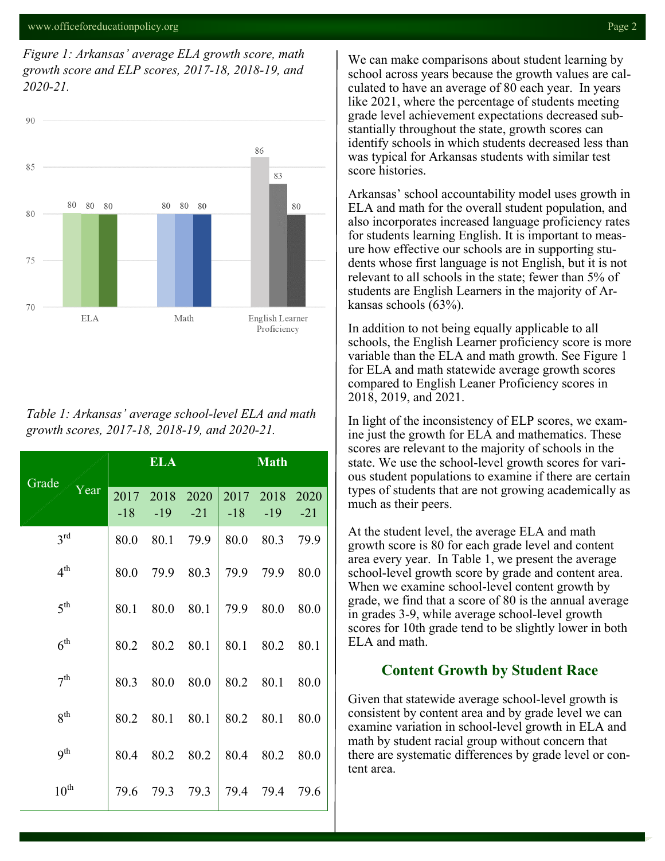*Figure 1: Arkansas' average ELA growth score, math growth score and ELP scores, 2017-18, 2018-19, and 2020-21.*



*Table 1: Arkansas' average school-level ELA and math growth scores, 2017-18, 2018-19, and 2020-21.*

| Grade<br>Year    | <b>ELA</b>    |               |               | <b>Math</b>   |               |               |
|------------------|---------------|---------------|---------------|---------------|---------------|---------------|
|                  | 2017<br>$-18$ | 2018<br>$-19$ | 2020<br>$-21$ | 2017<br>$-18$ | 2018<br>$-19$ | 2020<br>$-21$ |
| $3^{\text{rd}}$  | 80.0          | 80.1          | 79.9          | 80.0          | 80.3          | 79.9          |
| 4 <sup>th</sup>  | 80.0          | 79.9          | 80.3          | 79.9          | 79.9          | 80.0          |
| 5 <sup>th</sup>  | 80.1          | 80.0          | 80.1          | 79.9          | 80.0          | 80.0          |
| $6^{\text{th}}$  | 80.2          | 80.2          | 80.1          | 80.1          | 80.2          | 80.1          |
| 7 <sup>th</sup>  | 80.3          | 80.0          | 80.0          | 80.2          | 80.1          | 80.0          |
| 8 <sup>th</sup>  | 80.2          | 80.1          | 80.1          | 80.2          | 80.1          | 80.0          |
| 9 <sup>th</sup>  | 80.4          | 80.2          | 80.2          | 80.4          | 80.2          | 80.0          |
| $10^{\text{th}}$ | 79.6          |               | 79.3 79.3     | 79.4          | 79.4          | 79.6          |

We can make comparisons about student learning by school across years because the growth values are calculated to have an average of 80 each year. In years like 2021, where the percentage of students meeting grade level achievement expectations decreased substantially throughout the state, growth scores can identify schools in which students decreased less than was typical for Arkansas students with similar test score histories.

Arkansas' school accountability model uses growth in ELA and math for the overall student population, and also incorporates increased language proficiency rates for students learning English. It is important to measure how effective our schools are in supporting students whose first language is not English, but it is not relevant to all schools in the state; fewer than 5% of students are English Learners in the majority of Arkansas schools (63%).

In addition to not being equally applicable to all schools, the English Learner proficiency score is more variable than the ELA and math growth. See Figure 1 for ELA and math statewide average growth scores compared to English Leaner Proficiency scores in 2018, 2019, and 2021.

In light of the inconsistency of ELP scores, we examine just the growth for ELA and mathematics. These scores are relevant to the majority of schools in the state. We use the school-level growth scores for various student populations to examine if there are certain types of students that are not growing academically as much as their peers.

At the student level, the average ELA and math growth score is 80 for each grade level and content area every year. In Table 1, we present the average school-level growth score by grade and content area. When we examine school-level content growth by grade, we find that a score of 80 is the annual average in grades 3-9, while average school-level growth scores for 10th grade tend to be slightly lower in both ELA and math.

#### **Content Growth by Student Race**

Given that statewide average school-level growth is consistent by content area and by grade level we can examine variation in school-level growth in ELA and math by student racial group without concern that there are systematic differences by grade level or content area.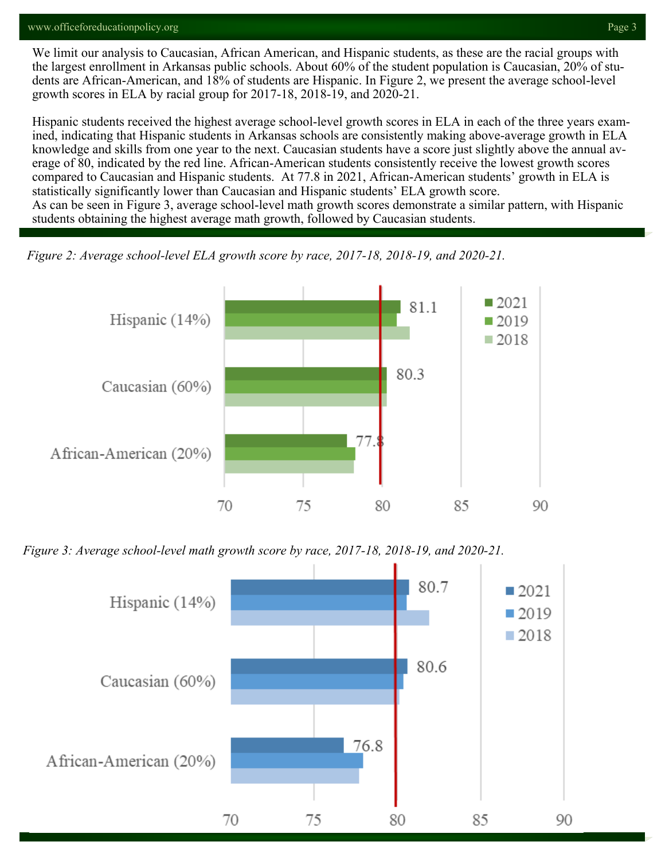#### www.officeforeducationpolicy.org Page 3

We limit our analysis to Caucasian, African American, and Hispanic students, as these are the racial groups with the largest enrollment in Arkansas public schools. About 60% of the student population is Caucasian, 20% of students are African-American, and 18% of students are Hispanic. In Figure 2, we present the average school-level growth scores in ELA by racial group for 2017-18, 2018-19, and 2020-21.

Hispanic students received the highest average school-level growth scores in ELA in each of the three years examined, indicating that Hispanic students in Arkansas schools are consistently making above-average growth in ELA knowledge and skills from one year to the next. Caucasian students have a score just slightly above the annual average of 80, indicated by the red line. African-American students consistently receive the lowest growth scores compared to Caucasian and Hispanic students. At 77.8 in 2021, African-American students' growth in ELA is statistically significantly lower than Caucasian and Hispanic students' ELA growth score. As can be seen in Figure 3, average school-level math growth scores demonstrate a similar pattern, with Hispanic students obtaining the highest average math growth, followed by Caucasian students.

*Figure 2: Average school-level ELA growth score by race, 2017-18, 2018-19, and 2020-21.*



*Figure 3: Average school-level math growth score by race, 2017-18, 2018-19, and 2020-21.*

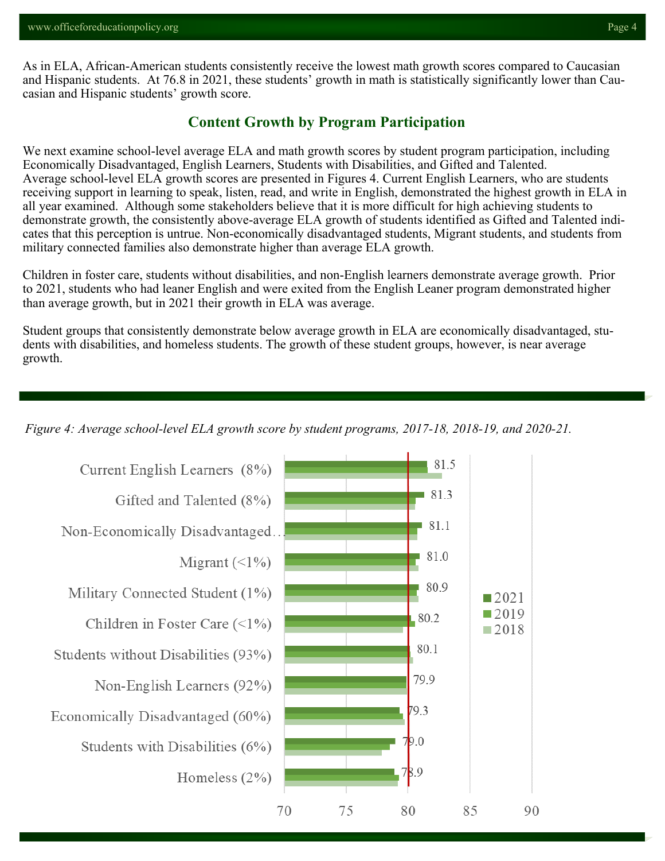As in ELA, African-American students consistently receive the lowest math growth scores compared to Caucasian and Hispanic students. At 76.8 in 2021, these students' growth in math is statistically significantly lower than Caucasian and Hispanic students' growth score.

#### **Content Growth by Program Participation**

We next examine school-level average ELA and math growth scores by student program participation, including Economically Disadvantaged, English Learners, Students with Disabilities, and Gifted and Talented. Average school-level ELA growth scores are presented in Figures 4. Current English Learners, who are students receiving support in learning to speak, listen, read, and write in English, demonstrated the highest growth in ELA in all year examined. Although some stakeholders believe that it is more difficult for high achieving students to demonstrate growth, the consistently above-average ELA growth of students identified as Gifted and Talented indicates that this perception is untrue. Non-economically disadvantaged students, Migrant students, and students from military connected families also demonstrate higher than average ELA growth.

Children in foster care, students without disabilities, and non-English learners demonstrate average growth. Prior to 2021, students who had leaner English and were exited from the English Leaner program demonstrated higher than average growth, but in 2021 their growth in ELA was average.

Student groups that consistently demonstrate below average growth in ELA are economically disadvantaged, students with disabilities, and homeless students. The growth of these student groups, however, is near average growth.

*Figure 4: Average school-level ELA growth score by student programs, 2017-18, 2018-19, and 2020-21.*

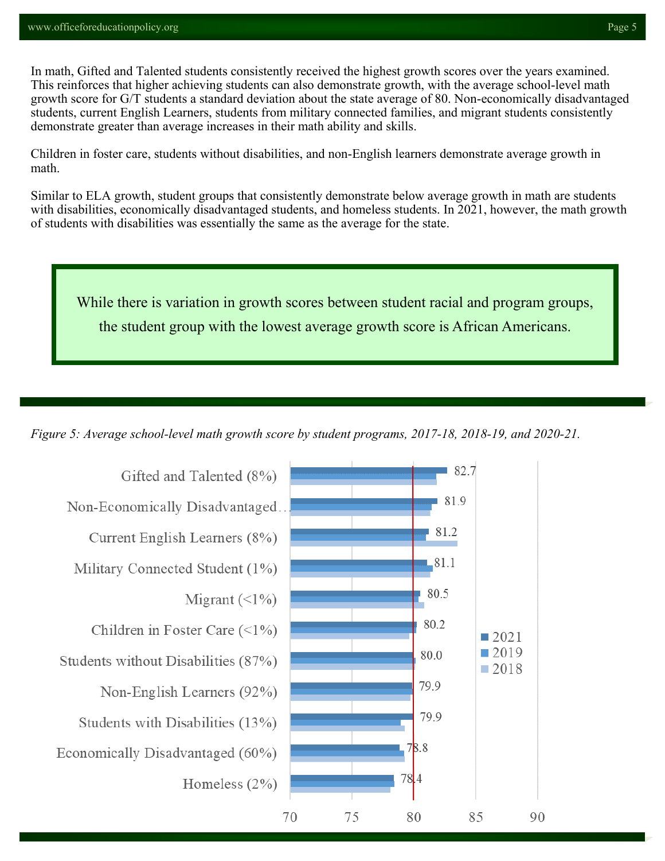In math, Gifted and Talented students consistently received the highest growth scores over the years examined. This reinforces that higher achieving students can also demonstrate growth, with the average school-level math growth score for G/T students a standard deviation about the state average of 80. Non-economically disadvantaged students, current English Learners, students from military connected families, and migrant students consistently demonstrate greater than average increases in their math ability and skills.

Children in foster care, students without disabilities, and non-English learners demonstrate average growth in math.

Similar to ELA growth, student groups that consistently demonstrate below average growth in math are students with disabilities, economically disadvantaged students, and homeless students. In 2021, however, the math growth of students with disabilities was essentially the same as the average for the state.

While there is variation in growth scores between student racial and program groups, the student group with the lowest average growth score is African Americans.

*Figure 5: Average school-level math growth score by student programs, 2017-18, 2018-19, and 2020-21.*

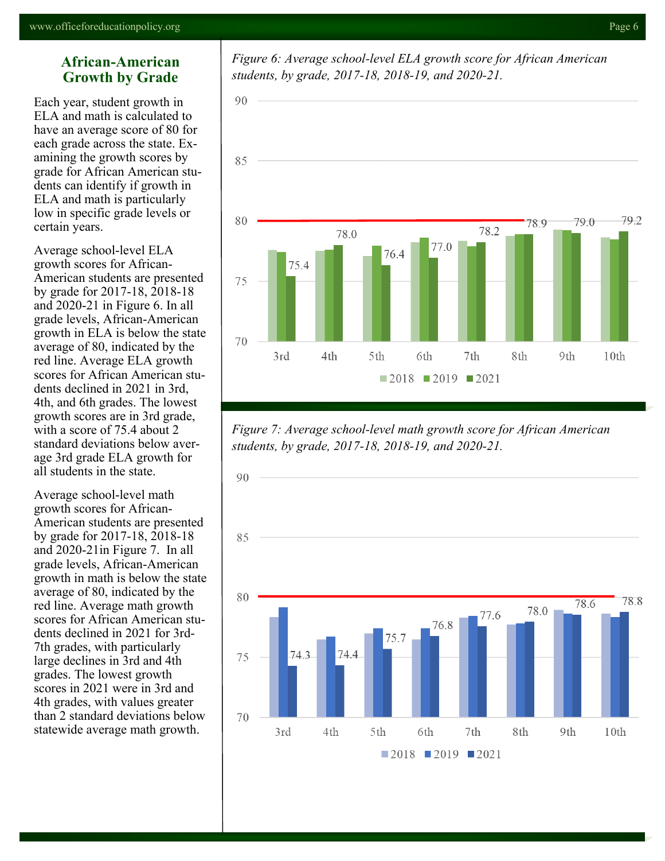#### **African-American Growth by Grade**

Each year, student growth in ELA and math is calculated to have an average score of 80 for each grade across the state. Examining the growth scores by grade for African American students can identify if growth in ELA and math is particularly low in specific grade levels or certain years.

Average school-level ELA growth scores for African-American students are presented by grade for 2017-18, 2018-18 and 2020-21 in Figure 6. In all grade levels, African-American growth in ELA is below the state average of 80, indicated by the red line. Average ELA growth scores for African American students declined in 2021 in 3rd, 4th, and 6th grades. The lowest growth scores are in 3rd grade, with a score of 75.4 about 2 standard deviations below average 3rd grade ELA growth for all students in the state.

Average school-level math growth scores for African-American students are presented by grade for 2017-18, 2018-18 and 2020-21in Figure 7. In all grade levels, African-American growth in math is below the state average of 80, indicated by the red line. Average math growth scores for African American students declined in 2021 for 3rd-7th grades, with particularly large declines in 3rd and 4th grades. The lowest growth scores in 2021 were in 3rd and 4th grades, with values greater than 2 standard deviations below statewide average math growth.

*Figure 6: Average school-level ELA growth score for African American students, by grade, 2017-18, 2018-19, and 2020-21.*



*Figure 7: Average school-level math growth score for African American students, by grade, 2017-18, 2018-19, and 2020-21.*